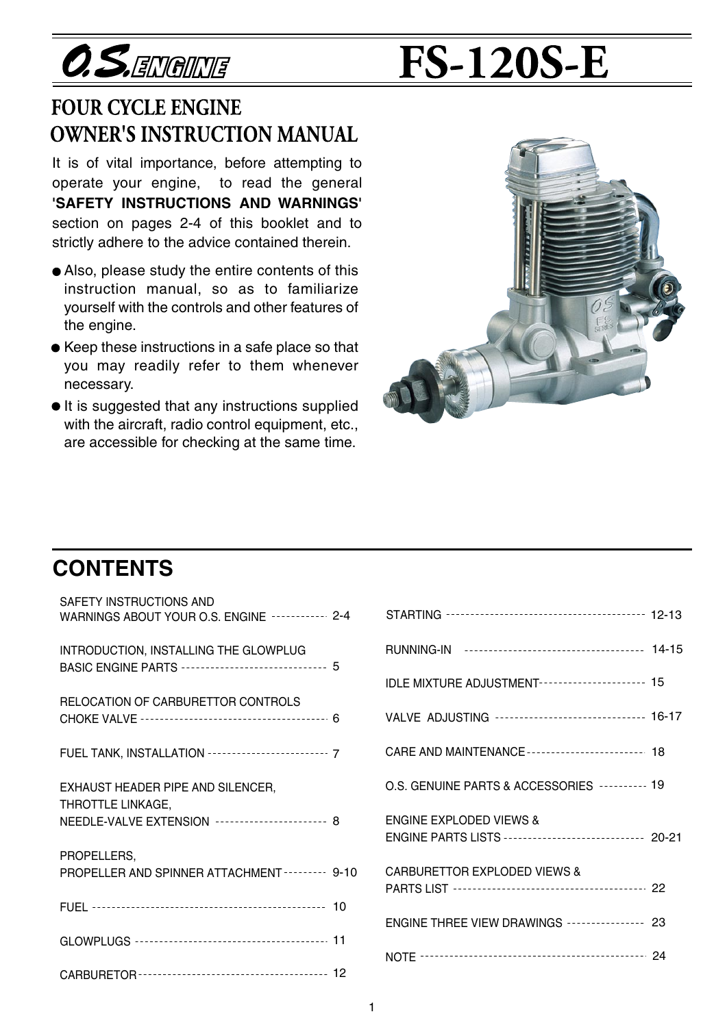**O.S.ENGINE** 

# **FS-120S-E**

## **FOUR CYCLE ENGINE OWNER'S INSTRUCTION MANUAL**

It is of vital importance, before attempting to operate your engine, to read the general **'SAFETY INSTRUCTIONS AND WARNINGS'**  section on pages 2-4 of this booklet and to strictly adhere to the advice contained therein.

- Also, please study the entire contents of this instruction manual, so as to familiarize yourself with the controls and other features of the engine.
- Keep these instructions in a safe place so that you may readily refer to them whenever necessary.
- $\bullet$  It is suggested that any instructions supplied with the aircraft, radio control equipment, etc., are accessible for checking at the same time.



## **CONTENTS**

| SAFETY INSTRUCTIONS AND<br>WARNINGS ABOUT YOUR O.S. ENGINE ----------- 2-4                                |  |
|-----------------------------------------------------------------------------------------------------------|--|
| INTRODUCTION, INSTALLING THE GLOWPLUG<br>BASIC ENGINE PARTS ------------------------------- 5             |  |
| RELOCATION OF CARBURETTOR CONTROLS                                                                        |  |
| FUEL TANK, INSTALLATION --------------------------- 7                                                     |  |
| EXHAUST HEADER PIPE AND SILENCER,<br>THROTTLE LINKAGE,<br>NEEDLE-VALVE EXTENSION ---------------------- 8 |  |
| PROPELLERS,<br>PROPELLER AND SPINNER ATTACHMENT -------- 9-10                                             |  |
|                                                                                                           |  |
|                                                                                                           |  |
|                                                                                                           |  |

| 2-4      |                                                                                             |  |
|----------|---------------------------------------------------------------------------------------------|--|
|          |                                                                                             |  |
| 5        | IDLE MIXTURE ADJUSTMENT--------------------- 15                                             |  |
| 6        | VALVE ADJUSTING ------------------------------- 16-17                                       |  |
| 7        | CARE AND MAINTENANCE ------------------------ 18                                            |  |
|          | O.S. GENUINE PARTS & ACCESSORIES ---------- 19                                              |  |
| 8        | <b>ENGINE EXPLODED VIEWS &amp;</b><br>ENGINE PARTS LISTS ---------------------------- 20-21 |  |
| $9 - 10$ | <b>CARBURETTOR EXPLODED VIEWS &amp;</b>                                                     |  |
| 10       | ENGINE THREE VIEW DRAWINGS --------------- 23                                               |  |
| 11       |                                                                                             |  |
| 12       |                                                                                             |  |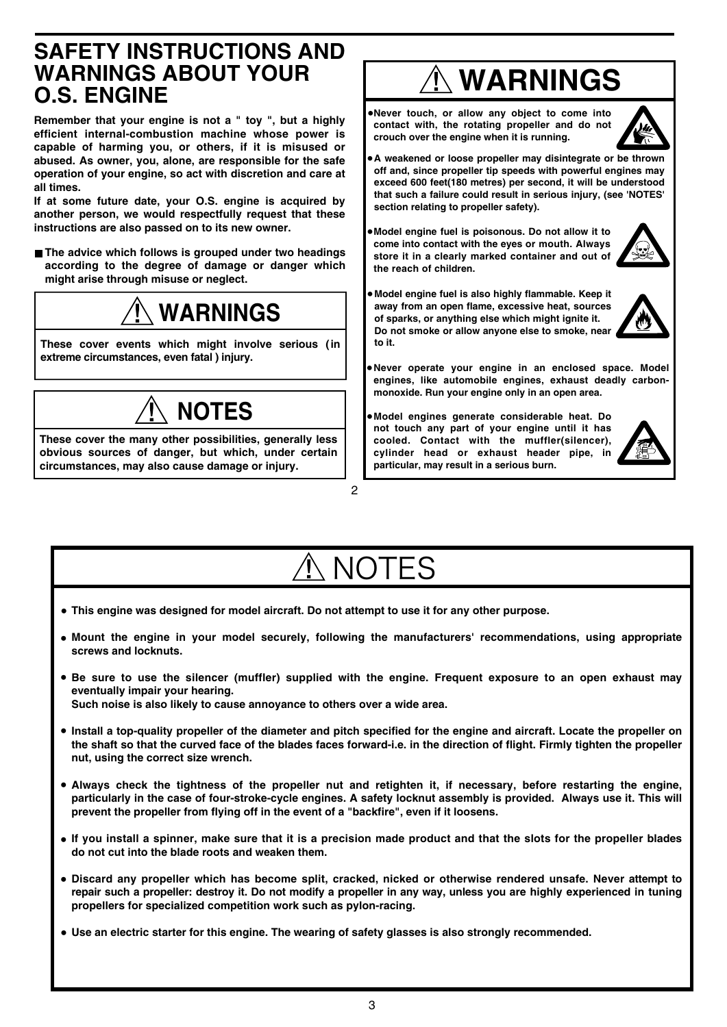## **SAFETY INSTRUCTIONS AND WARNINGS ABOUT YOUR O.S. ENGINE**

**Remember that your engine is not a " toy ", but a highly efficient internal-combustion machine whose power is capable of harming you, or others, if it is misused or abused. As owner, you, alone, are responsible for the safe operation of your engine, so act with discretion and care at all times.**

**If at some future date, your O.S. engine is acquired by another person, we would respectfully request that these instructions are also passed on to its new owner.**

**The advice which follows is grouped under two headings according to the degree of damage or danger which might arise through misuse or neglect.**

## **WARNINGS**

**These cover events which might involve serious (in extreme circumstances, even fatal ) injury.**



**These cover the many other possibilities, generally less obvious sources of danger, but which, under certain circumstances, may also cause damage or injury.**

## **WARNINGS**

**Never touch, or allow any object to come into**  • **contact with, the rotating propeller and do not crouch over the engine when it is running.**



**A weakened or loose propeller may disintegrate or be thrown**  • **off and, since propeller tip speeds with powerful engines may exceed 600 feet(180 metres) per second, it will be understood that such a failure could result in serious injury, (see 'NOTES' section relating to propeller safety).**

- **Model engine fuel is poisonous. Do not allow it to come into contact with the eyes or mouth. Always store it in a clearly marked container and out of the reach of children.**
- **Model engine fuel is also highly flammable. Keep it away from an open flame, excessive heat, sources of sparks, or anything else which might ignite it. Do not smoke or allow anyone else to smoke, near to it.**



**Never operate your engine in an enclosed space. Model**  • **engines, like automobile engines, exhaust deadly carbonmonoxide. Run your engine only in an open area.**

**Model engines generate considerable heat. Do**  • **not touch any part of your engine until it has cooled. Contact with the muffler(silencer), cylinder head or exhaust header pipe, in particular, may result in a serious burn.**



## **NOTES**

 $\mathfrak{p}$ 

- **This engine was designed for model aircraft. Do not attempt to use it for any other purpose. •**
- **Mount the engine in your model securely, following the manufacturers' recommendations, using appropriate • screws and locknuts.**
- **Be sure to use the silencer (muffler) supplied with the engine. Frequent exposure to an open exhaust may • eventually impair your hearing. Such noise is also likely to cause annoyance to others over a wide area.**
- **Install a top-quality propeller of the diameter and pitch specified for the engine and aircraft. Locate the propeller on • the shaft so that the curved face of the blades faces forward-i.e. in the direction of flight. Firmly tighten the propeller nut, using the correct size wrench.**
- **Always check the tightness of the propeller nut and retighten it, if necessary, before restarting the engine, • particularly in the case of four-stroke-cycle engines. A safety locknut assembly is provided. Always use it. This will prevent the propeller from flying off in the event of a "backfire", even if it loosens.**
- **If you install a spinner, make sure that it is a precision made product and that the slots for the propeller blades • do not cut into the blade roots and weaken them.**
- **Discard any propeller which has become split, cracked, nicked or otherwise rendered unsafe. Never attempt to • repair such a propeller: destroy it. Do not modify a propeller in any way, unless you are highly experienced in tuning propellers for specialized competition work such as pylon-racing.**
- **Use an electric starter for this engine. The wearing of safety glasses is also strongly recommended. •**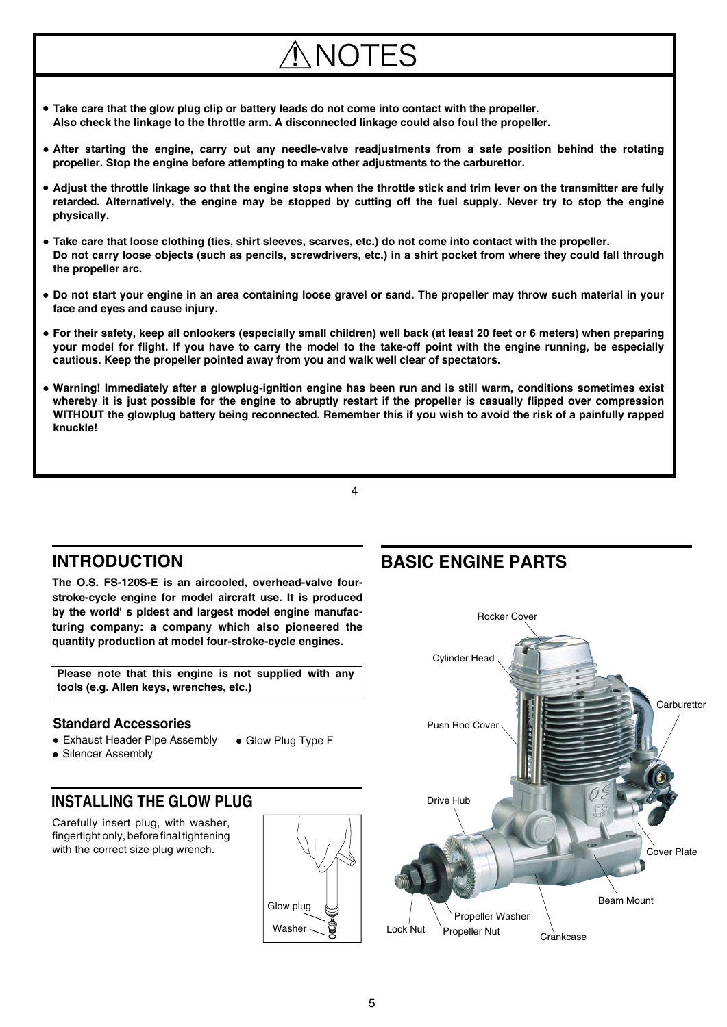## NOTES

- **Take care that the glow plug clip or battery leads do not come into contact with the propeller. • Also check the linkage to the throttle arm. A disconnected linkage could also foul the propeller.**
- **After starting the engine, carry out any needle-valve readjustments from a safe position behind the rotating • propeller. Stop the engine before attempting to make other adjustments to the carburettor.**
- **Adjust the throttle linkage so that the engine stops when the throttle stick and trim lever on the transmitter are fully • retarded. Alternatively, the engine may be stopped by cutting off the fuel supply. Never try to stop the engine physically.**
- **Take care that loose clothing (ties, shirt sleeves, scarves, etc.) do not come into contact with the propeller. • Do not carry loose objects (such as pencils, screwdrivers, etc.) in a shirt pocket from where they could fall through the propeller arc.**
- **Do not start your engine in an area containing loose gravel or sand. The propeller may throw such material in your • face and eyes and cause injury.**
- **For their safety, keep all onlookers (especially small children) well back (at least 20 feet or 6 meters) when preparing • your model for flight. If you have to carry the model to the take-off point with the engine running, be especially cautious. Keep the propeller pointed away from you and walk well clear of spectators.**
- **Warning! Immediately after a glowplug-ignition engine has been run and is still warm, conditions sometimes exist • whereby it is just possible for the engine to abruptly restart if the propeller is casually flipped over compression WITHOUT the glowplug battery being reconnected. Remember this if you wish to avoid the risk of a painfully rapped knuckle!**

 $\Delta$ 



**The O.S. FS-120S-E is an aircooled, overhead-valve fourstroke-cycle engine for model aircraft use. It is produced by the world' s pldest and largest model engine manufacturing company: a company which also pioneered the quantity production at model four-stroke-cycle engines.**

**Please note that this engine is not supplied with any tools (e.g. Allen keys, wrenches, etc.)**

#### **Standard Accessories**

- Exhaust Header Pipe Assembly ● Glow Plug Type F
- Silencer Assembly

### **INSTALLING THE GLOW PLUG**

Carefully insert plug, with washer, fingertight only, before final tightening with the correct size plug wrench.



## **BASIC ENGINE PARTS**

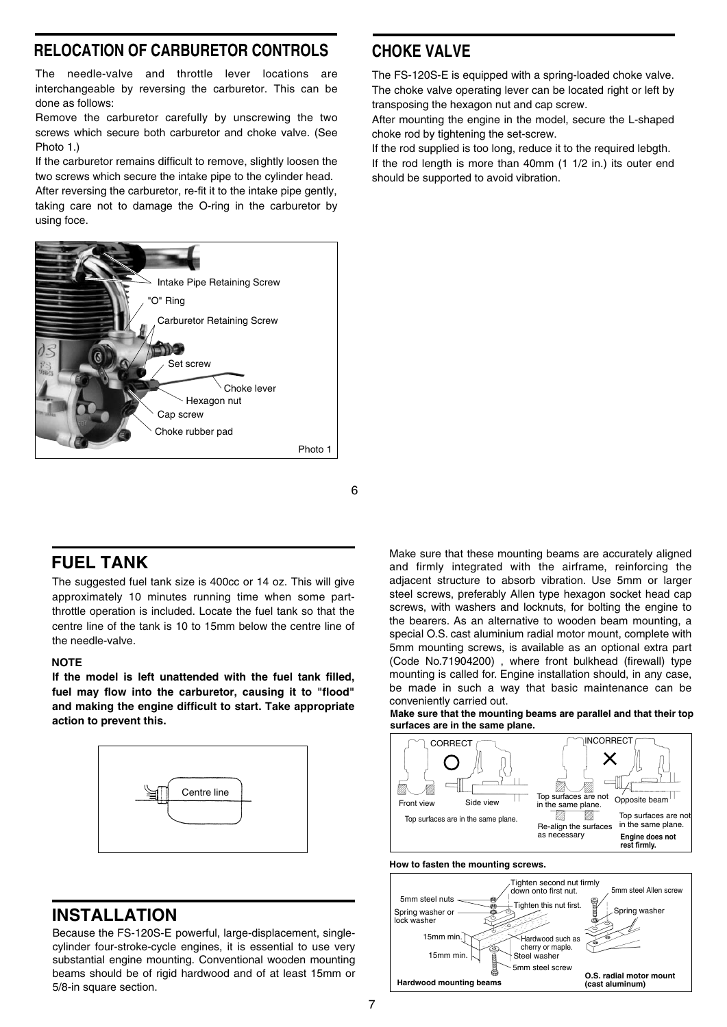#### **RELOCATION OF CARBURETOR CONTROLS**

The needle-valve and throttle lever locations are interchangeable by reversing the carburetor. This can be done as follows:

Remove the carburetor carefully by unscrewing the two screws which secure both carburetor and choke valve. (See Photo 1)

If the carburetor remains difficult to remove, slightly loosen the two screws which secure the intake pipe to the cylinder head.

After reversing the carburetor, re-fit it to the intake pipe gently, taking care not to damage the O-ring in the carburetor by using foce.



## **CHOKE VALVE**

The FS-120S-E is equipped with a spring-loaded choke valve. The choke valve operating lever can be located right or left by transposing the hexagon nut and cap screw.

After mounting the engine in the model, secure the L-shaped choke rod by tightening the set-screw.

If the rod supplied is too long, reduce it to the required lebgth. If the rod length is more than 40mm (1 1/2 in.) its outer end should be supported to avoid vibration.



## **FUEL TANK**

The suggested fuel tank size is 400cc or 14 oz. This will give approximately 10 minutes running time when some partthrottle operation is included. Locate the fuel tank so that the centre line of the tank is 10 to 15mm below the centre line of the needle-valve.

#### **NOTE**

**If the model is left unattended with the fuel tank filled, fuel may flow into the carburetor, causing it to "flood" and making the engine difficult to start. Take appropriate action to prevent this.**



## **INSTALLATION**

Because the FS-120S-E powerful, large-displacement, singlecylinder four-stroke-cycle engines, it is essential to use very substantial engine mounting. Conventional wooden mounting beams should be of rigid hardwood and of at least 15mm or 5/8-in square section.

Make sure that these mounting beams are accurately aligned and firmly integrated with the airframe, reinforcing the adjacent structure to absorb vibration. Use 5mm or larger steel screws, preferably Allen type hexagon socket head cap screws, with washers and locknuts, for bolting the engine to the bearers. As an alternative to wooden beam mounting, a special O.S. cast aluminium radial motor mount, complete with 5mm mounting screws, is available as an optional extra part (Code No.71904200) , where front bulkhead (firewall) type mounting is called for. Engine installation should, in any case, be made in such a way that basic maintenance can be conveniently carried out.

**Make sure that the mounting beams are parallel and that their top surfaces are in the same plane.**



#### **How to fasten the mounting screws.**

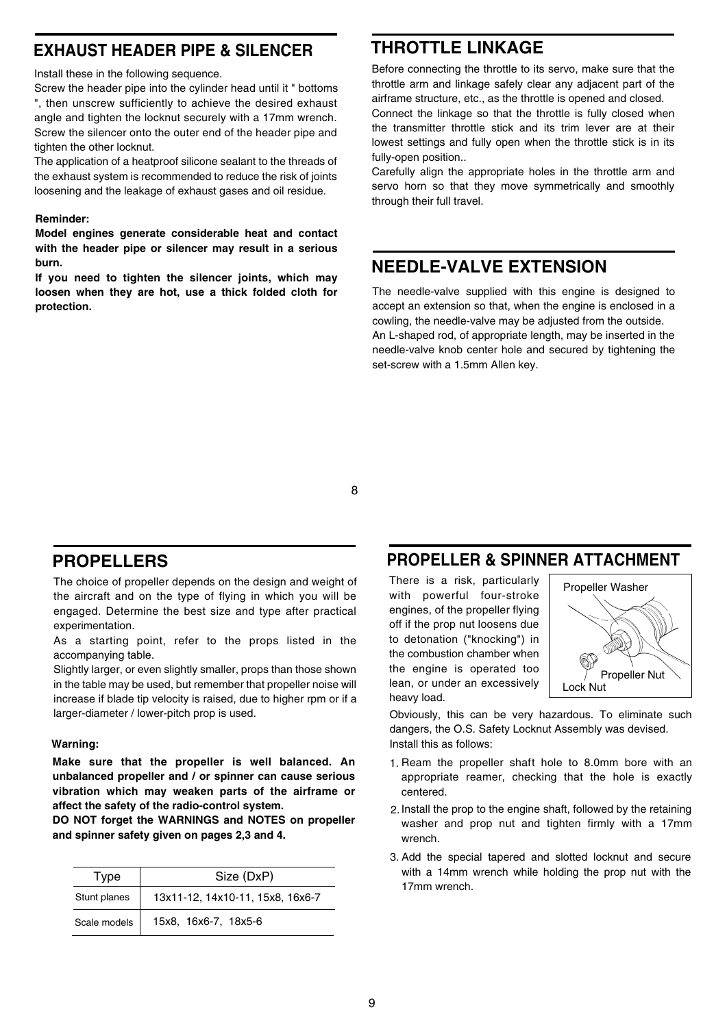## **EXHAUST HEADER PIPE & SILENCER**

Install these in the following sequence.

Screw the header pipe into the cylinder head until it " bottoms ", then unscrew sufficiently to achieve the desired exhaust angle and tighten the locknut securely with a 17mm wrench. Screw the silencer onto the outer end of the header pipe and tighten the other locknut.

The application of a heatproof silicone sealant to the threads of the exhaust system is recommended to reduce the risk of joints loosening and the leakage of exhaust gases and oil residue.

#### **Reminder:**

**Model engines generate considerable heat and contact with the header pipe or silencer may result in a serious burn.** 

**If you need to tighten the silencer joints, which may loosen when they are hot, use a thick folded cloth for protection.**

## **THROTTLE LINKAGE**

Before connecting the throttle to its servo, make sure that the throttle arm and linkage safely clear any adjacent part of the airframe structure, etc., as the throttle is opened and closed.

Connect the linkage so that the throttle is fully closed when the transmitter throttle stick and its trim lever are at their lowest settings and fully open when the throttle stick is in its fully-open position..

Carefully align the appropriate holes in the throttle arm and servo horn so that they move symmetrically and smoothly through their full travel.

## **NEEDLE-VALVE EXTENSION**

The needle-valve supplied with this engine is designed to accept an extension so that, when the engine is enclosed in a cowling, the needle-valve may be adjusted from the outside. An L-shaped rod, of appropriate length, may be inserted in the

needle-valve knob center hole and secured by tightening the set-screw with a 1.5mm Allen key.

8

## **PROPELLERS**

The choice of propeller depends on the design and weight of the aircraft and on the type of flying in which you will be engaged. Determine the best size and type after practical experimentation.

As a starting point, refer to the props listed in the accompanying table.

Slightly larger, or even slightly smaller, props than those shown in the table may be used, but remember that propeller noise will increase if blade tip velocity is raised, due to higher rpm or if a larger-diameter / lower-pitch prop is used.

#### **Warning:**

**Make sure that the propeller is well balanced. An unbalanced propeller and / or spinner can cause serious vibration which may weaken parts of the airframe or affect the safety of the radio-control system.**

**DO NOT forget the WARNINGS and NOTES on propeller and spinner safety given on pages 2,3 and 4.** 

| Type         | Size (DxP)                       |  |
|--------------|----------------------------------|--|
| Stunt planes | 13x11-12, 14x10-11, 15x8, 16x6-7 |  |
| Scale models | 15x8, 16x6-7, 18x5-6             |  |

## **PROPELLER & SPINNER ATTACHMENT**

There is a risk, particularly with powerful four-stroke engines, of the propeller flying off if the prop nut loosens due to detonation ("knocking") in the combustion chamber when the engine is operated too lean, or under an excessively heavy load.



Obviously, this can be very hazardous. To eliminate such dangers, the O.S. Safety Locknut Assembly was devised. Install this as follows:

- 1. Ream the propeller shaft hole to 8.0mm bore with an appropriate reamer, checking that the hole is exactly centered.
- 2. Install the prop to the engine shaft, followed by the retaining washer and prop nut and tighten firmly with a 17mm wrench.
- 3. Add the special tapered and slotted locknut and secure with a 14mm wrench while holding the prop nut with the 17mm wrench.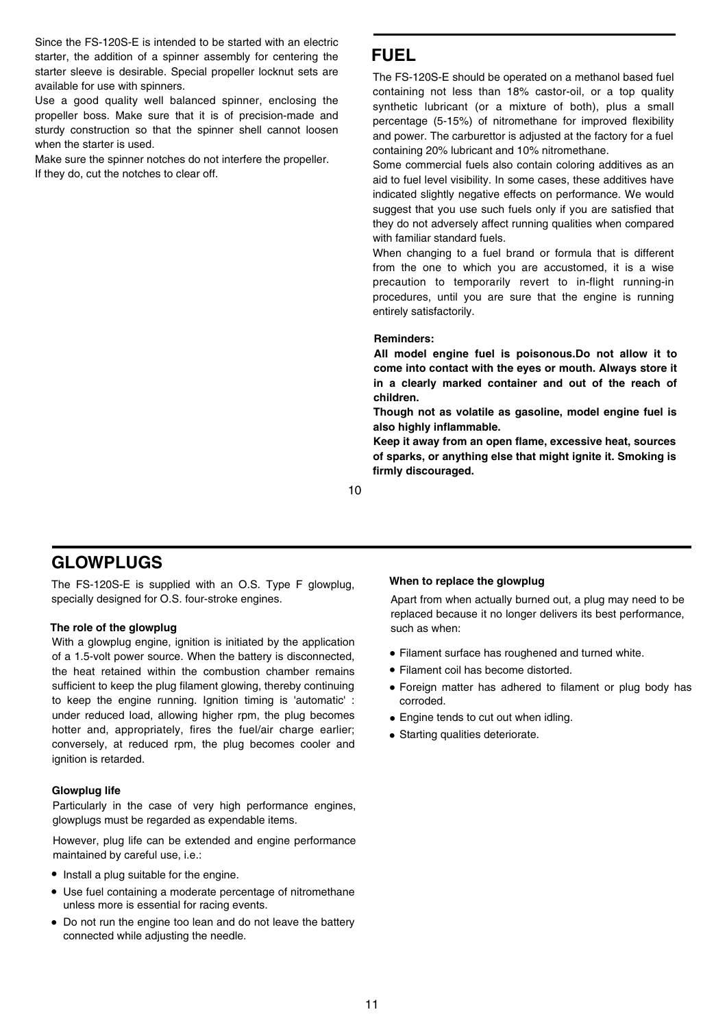Since the FS-120S-E is intended to be started with an electric starter, the addition of a spinner assembly for centering the starter sleeve is desirable. Special propeller locknut sets are available for use with spinners.

Use a good quality well balanced spinner, enclosing the propeller boss. Make sure that it is of precision-made and sturdy construction so that the spinner shell cannot loosen when the starter is used.

Make sure the spinner notches do not interfere the propeller. If they do, cut the notches to clear off.

## **FUEL**

The FS-120S-E should be operated on a methanol based fuel containing not less than 18% castor-oil, or a top quality synthetic lubricant (or a mixture of both), plus a small percentage (5-15%) of nitromethane for improved flexibility and power. The carburettor is adjusted at the factory for a fuel containing 20% lubricant and 10% nitromethane.

Some commercial fuels also contain coloring additives as an aid to fuel level visibility. In some cases, these additives have indicated slightly negative effects on performance. We would suggest that you use such fuels only if you are satisfied that they do not adversely affect running qualities when compared with familiar standard fuels.

When changing to a fuel brand or formula that is different from the one to which you are accustomed, it is a wise precaution to temporarily revert to in-flight running-in procedures, until you are sure that the engine is running entirely satisfactorily.

#### **Reminders:**

**AII model engine fuel is poisonous.Do not allow it to come into contact with the eyes or mouth. Always store it in a clearly marked container and out of the reach of children.**

**Though not as volatile as gasoline, model engine fuel is also highly inflammable.**

**Keep it away from an open flame, excessive heat, sources of sparks, or anything else that might ignite it. Smoking is firmly discouraged.**

10

## **GLOWPLUGS**

The FS-120S-E is supplied with an O.S. Type F glowplug, **When to replace the glowplug** specially designed for O.S. four-stroke engines.

#### **The role of the glowplug**

With a glowplug engine, ignition is initiated by the application of a 1.5-volt power source. When the battery is disconnected, the heat retained within the combustion chamber remains sufficient to keep the plug filament glowing, thereby continuing to keep the engine running. Ignition timing is 'automatic' : under reduced load, allowing higher rpm, the plug becomes hotter and, appropriately, fires the fuel/air charge earlier; conversely, at reduced rpm, the plug becomes cooler and ignition is retarded.

#### **Glowplug life**

Particularly in the case of very high performance engines, glowplugs must be regarded as expendable items.

However, plug life can be extended and engine performance maintained by careful use, i.e.:

- Install a plug suitable for the engine.
- Use fuel containing a moderate percentage of nitromethane unless more is essential for racing events.
- Do not run the engine too lean and do not leave the battery connected while adjusting the needle.

Apart from when actually burned out, a plug may need to be replaced because it no longer delivers its best performance, such as when:

- Filament surface has roughened and turned white. •
- Filament coil has become distorted. •
- Foreign matter has adhered to filament or plug body has corroded.
- Engine tends to cut out when idling. •
- Starting qualities deteriorate. •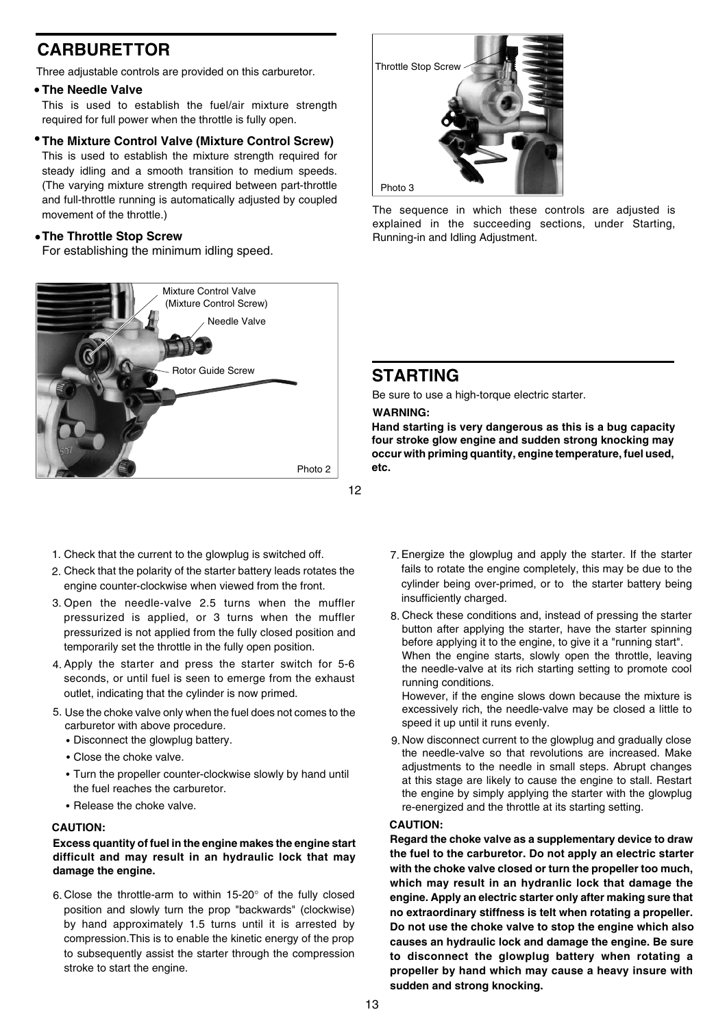## **CARBURETTOR**

Three adjustable controls are provided on this carburetor.

#### **The Needle Valve** •

This is used to establish the fuel/air mixture strength required for full power when the throttle is fully open.

#### **The Mixture Control Valve (Mixture Control Screw)** •

This is used to establish the mixture strength required for steady idling and a smooth transition to medium speeds. (The varying mixture strength required between part-throttle and full-throttle running is automatically adjusted by coupled movement of the throttle.)

#### **The Throttle Stop Screw** •

For establishing the minimum idling speed.



- Check that the current to the glowplug is switched off. 1.
- 2. Check that the polarity of the starter battery leads rotates the engine counter-clockwise when viewed from the front.
- 3. Open the needle-valve 2.5 turns when the muffler pressurized is applied, or 3 turns when the muffler pressurized is not applied from the fully closed position and temporarily set the throttle in the fully open position.
- 4. Apply the starter and press the starter switch for 5-6 seconds, or until fuel is seen to emerge from the exhaust outlet, indicating that the cylinder is now primed.
- 5. Use the choke valve only when the fuel does not comes to the carburetor with above procedure.
	- Disconnect the glowplug battery.
	- Close the choke valve.
	- Turn the propeller counter-clockwise slowly by hand until the fuel reaches the carburetor.
	- Release the choke valve.

#### **CAUTION:**

#### **Excess quantity of fuel in the engine makes the engine start difficult and may result in an hydraulic lock that may damage the engine.**

6. Close the throttle-arm to within 15-20° of the fully closed position and slowly turn the prop "backwards" (clockwise) by hand approximately 1.5 turns until it is arrested by compression.This is to enable the kinetic energy of the prop to subsequently assist the starter through the compression stroke to start the engine.



The sequence in which these controls are adjusted is explained in the succeeding sections, under Starting, Running-in and Idling Adjustment.

#### **STARTING**

Be sure to use a high-torque electric starter.

#### **WARNING:**

**Hand starting is very dangerous as this is a bug capacity four stroke glow engine and sudden strong knocking may occur with priming quantity, engine temperature, fuel used, etc.**

- Energize the glowplug and apply the starter. If the starter 7. fails to rotate the engine completely, this may be due to the cylinder being over-primed, or to the starter battery being insufficiently charged.
- Check these conditions and, instead of pressing the starter 8. button after applying the starter, have the starter spinning before applying it to the engine, to give it a "running start". When the engine starts, slowly open the throttle, leaving the needle-valve at its rich starting setting to promote cool running conditions.

However, if the engine slows down because the mixture is excessively rich, the needle-valve may be closed a little to speed it up until it runs evenly.

9. Now disconnect current to the glowplug and gradually close the needle-valve so that revolutions are increased. Make adjustments to the needle in small steps. Abrupt changes at this stage are likely to cause the engine to stall. Restart the engine by simply applying the starter with the glowplug re-energized and the throttle at its starting setting.

#### **CAUTION:**

**Regard the choke valve as a supplementary device to draw the fuel to the carburetor. Do not apply an electric starter with the choke valve closed or turn the propeller too much, which may result in an hydranlic lock that damage the engine. Apply an electric starter only after making sure that no extraordinary stiffness is telt when rotating a propeller. Do not use the choke valve to stop the engine which also causes an hydraulic lock and damage the engine. Be sure to disconnect the glowplug battery when rotating a propeller by hand which may cause a heavy insure with sudden and strong knocking.**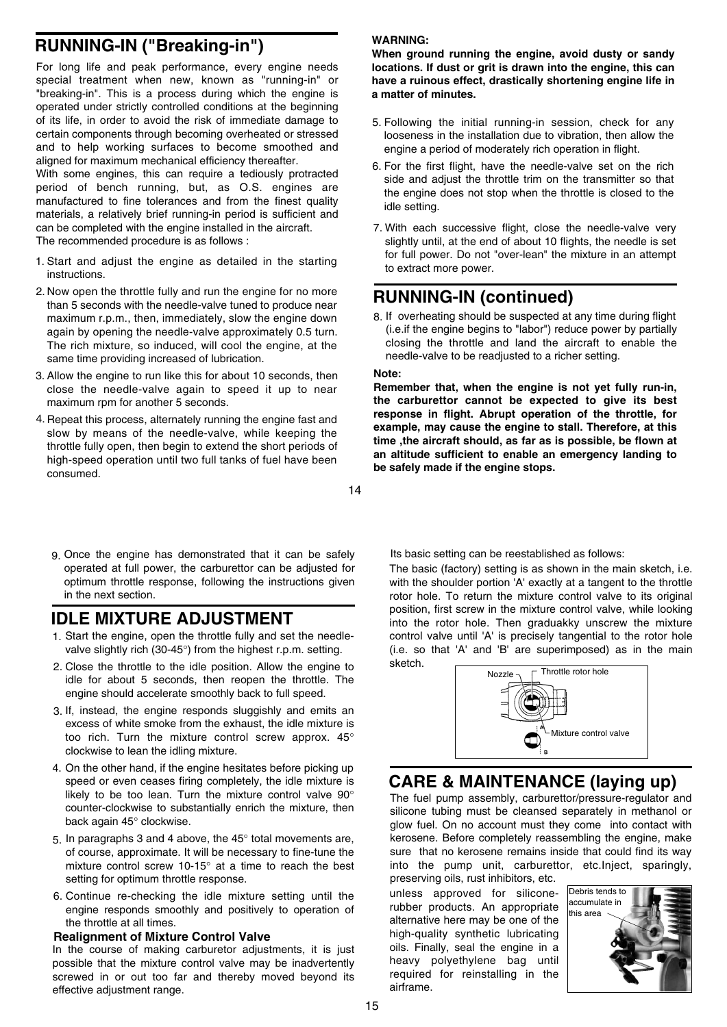## **RUNNING-IN ("Breaking-in")**

For long life and peak performance, every engine needs special treatment when new, known as "running-in" or "breaking-in". This is a process during which the engine is operated under strictly controlled conditions at the beginning of its life, in order to avoid the risk of immediate damage to certain components through becoming overheated or stressed and to help working surfaces to become smoothed and aligned for maximum mechanical efficiency thereafter.

With some engines, this can require a tediously protracted period of bench running, but, as O.S. engines are manufactured to fine tolerances and from the finest quality materials, a relatively brief running-in period is sufficient and can be completed with the engine installed in the aircraft. The recommended procedure is as follows :

- 1. Start and adjust the engine as detailed in the starting instructions.
- 2. Now open the throttle fully and run the engine for no more than 5 seconds with the needle-valve tuned to produce near maximum r.p.m., then, immediately, slow the engine down again by opening the needle-valve approximately 0.5 turn. The rich mixture, so induced, will cool the engine, at the same time providing increased of lubrication.
- 3. Allow the engine to run like this for about 10 seconds, then close the needle-valve again to speed it up to near maximum rpm for another 5 seconds.
- 4. Repeat this process, alternately running the engine fast and slow by means of the needle-valve, while keeping the throttle fully open, then begin to extend the short periods of high-speed operation until two full tanks of fuel have been consumed.
- 14
- 9. Once the engine has demonstrated that it can be safely operated at full power, the carburettor can be adjusted for optimum throttle response, following the instructions given in the next section.

## **IDLE MIXTURE ADJUSTMENT**

- Start the engine, open the throttle fully and set the needle-1. valve slightly rich (30-45°) from the highest r.p.m. setting.
- 2. Close the throttle to the idle position. Allow the engine to idle for about 5 seconds, then reopen the throttle. The engine should accelerate smoothly back to full speed.
- 3. If, instead, the engine responds sluggishly and emits an excess of white smoke from the exhaust, the idle mixture is too rich. Turn the mixture control screw approx. 45° clockwise to lean the idling mixture.
- On the other hand, if the engine hesitates before picking up 4. speed or even ceases firing completely, the idle mixture is likely to be too lean. Turn the mixture control valve 90° counter-clockwise to substantially enrich the mixture, then back again 45° clockwise.
- 5. In paragraphs 3 and 4 above, the  $45^{\circ}$  total movements are, of course, approximate. It will be necessary to fine-tune the mixture control screw 10-15° at a time to reach the best setting for optimum throttle response.
- 6. Continue re-checking the idle mixture setting until the engine responds smoothly and positively to operation of the throttle at all times.

#### **Realignment of Mixture Control Valve**

In the course of making carburetor adjustments, it is just possible that the mixture control valve may be inadvertently screwed in or out too far and thereby moved beyond its effective adjustment range.

#### **WARNING:**

**When ground running the engine, avoid dusty or sandy locations. If dust or grit is drawn into the engine, this can have a ruinous effect, drastically shortening engine life in a matter of minutes.**

- 5. Following the initial running-in session, check for any looseness in the installation due to vibration, then allow the engine a period of moderately rich operation in flight.
- 6. For the first flight, have the needle-valve set on the rich side and adjust the throttle trim on the transmitter so that the engine does not stop when the throttle is closed to the idle setting.
- With each successive flight, close the needle-valve very 7. slightly until, at the end of about 10 flights, the needle is set for full power. Do not "over-lean" the mixture in an attempt to extract more power.

## **RUNNING-IN (continued)**

8. If overheating should be suspected at any time during flight (i.e.if the engine begins to "labor") reduce power by partially closing the throttle and land the aircraft to enable the needle-valve to be readjusted to a richer setting.

#### **Note:**

**Remember that, when the engine is not yet fully run-in, the carburettor cannot be expected to give its best response in flight. Abrupt operation of the throttle, for example, may cause the engine to stall. Therefore, at this time ,the aircraft should, as far as is possible, be flown at an altitude sufficient to enable an emergency landing to be safely made if the engine stops.**

Its basic setting can be reestablished as follows:

The basic (factory) setting is as shown in the main sketch, i.e. with the shoulder portion 'A' exactly at a tangent to the throttle rotor hole. To return the mixture control valve to its original position, first screw in the mixture control valve, while looking into the rotor hole. Then graduakky unscrew the mixture control valve until 'A' is precisely tangential to the rotor hole (i.e. so that 'A' and 'B' are superimposed) as in the main sketch.



## **CARE & MAINTENANCE (laying up)**

The fuel pump assembly, carburettor/pressure-regulator and silicone tubing must be cleansed separately in methanol or glow fuel. On no account must they come into contact with kerosene. Before completely reassembling the engine, make sure that no kerosene remains inside that could find its way into the pump unit, carburettor, etc.Inject, sparingly, preserving oils, rust inhibitors, etc.

unless approved for siliconerubber products. An appropriate alternative here may be one of the high-quality synthetic lubricating oils. Finally, seal the engine in a heavy polyethylene bag until required for reinstalling in the airframe.

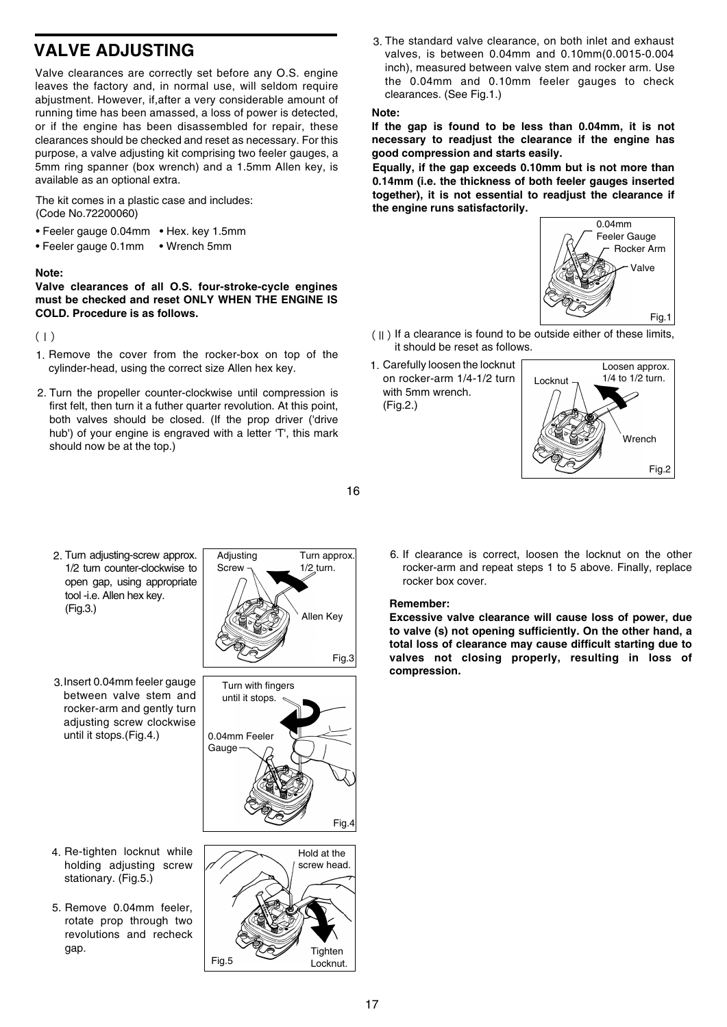## **VALVE ADJUSTING**

Valve clearances are correctly set before any O.S. engine leaves the factory and, in normal use, will seldom require abjustment. However, if,after a very considerable amount of running time has been amassed, a loss of power is detected, or if the engine has been disassembled for repair, these clearances should be checked and reset as necessary. For this purpose, a valve adjusting kit comprising two feeler gauges, a 5mm ring spanner (box wrench) and a 1.5mm Allen key, is available as an optional extra.

The kit comes in a plastic case and includes: (Code No.72200060)

- Feeler gauge 0.04mm Hex. key 1.5mm
- Feeler gauge 0.1mm Wrench 5mm

#### **Note:**

**Valve clearances of all O.S. four-stroke-cycle engines must be checked and reset ONLY WHEN THE ENGINE IS COLD. Procedure is as follows.**

 $($ | $)$ 

- 1. Remove the cover from the rocker-box on top of the cylinder-head, using the correct size Allen hex key.
- 2. Turn the propeller counter-clockwise until compression is first felt, then turn it a futher quarter revolution. At this point, both valves should be closed. (If the prop driver ('drive hub') of your engine is engraved with a letter 'T', this mark should now be at the top.)

The standard valve clearance, on both inlet and exhaust 3. valves, is between 0.04mm and 0.10mm(0.0015-0.004 inch), measured between valve stem and rocker arm. Use the 0.04mm and 0.10mm feeler gauges to check clearances. (See Fig.1.)

#### **Note:**

**If the gap is found to be less than 0.04mm, it is not necessary to readjust the clearance if the engine has good compression and starts easily.**

**Equally, if the gap exceeds 0.10mm but is not more than 0.14mm (i.e. the thickness of both feeler gauges inserted together), it is not essential to readjust the clearance if the engine runs satisfactorily.**



- (Ⅱ) If a clearance is found to be outside either of these limits, it should be reset as follows.
- 1. Carefully loosen the locknut on rocker-arm 1/4-1/2 turn with 5mm wrench. (Fig.2.)



- 2. Turn adjusting-screw approx. 1/2 turn counter-clockwise to open gap, using appropriate tool -i.e. Allen hex key. (Fig.3.)
- 3. Insert 0.04mm feeler gauge between valve stem and rocker-arm and gently turn adjusting screw clockwise until it stops.(Fig.4.) | 0.04mm Feeler

- holding adjusting screw stationary. (Fig.5.)
- 5. Remove 0.04mm feeler, rotate prop through two revolutions and recheck gap.







6. If clearance is correct, loosen the locknut on the other rocker-arm and repeat steps 1 to 5 above. Finally, replace rocker box cover.

#### **Remember:**

16

**Excessive valve clearance will cause loss of power, due to valve (s) not opening sufficiently. On the other hand, a total loss of clearance may cause difficult starting due to valves not closing properly, resulting in loss of compression.**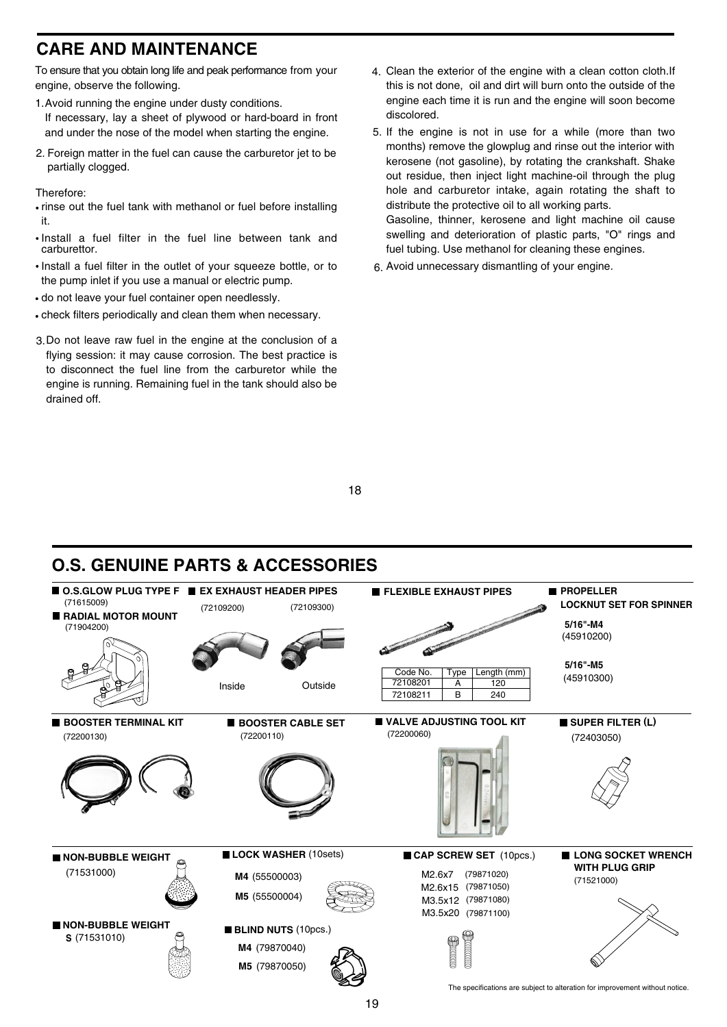## **CARE AND MAINTENANCE**

To ensure that you obtain long life and peak performance from your engine, observe the following.

- Avoid running the engine under dusty conditions. 1. If necessary, lay a sheet of plywood or hard-board in front and under the nose of the model when starting the engine.
- 2. Foreign matter in the fuel can cause the carburetor jet to be partially clogged.

Therefore:

- rinse out the fuel tank with methanol or fuel before installing it.
- Install a fuel filter in the fuel line between tank and carburettor.
- Install a fuel filter in the outlet of your squeeze bottle, or to the pump inlet if you use a manual or electric pump.
- do not leave your fuel container open needlessly.
- check filters periodically and clean them when necessary.
- 3. Do not leave raw fuel in the engine at the conclusion of a flying session: it may cause corrosion. The best practice is to disconnect the fuel line from the carburetor while the engine is running. Remaining fuel in the tank should also be drained off.
- Clean the exterior of the engine with a clean cotton cloth.If 4. this is not done, oil and dirt will burn onto the outside of the engine each time it is run and the engine will soon become discolored.
- 5. If the engine is not in use for a while (more than two months) remove the glowplug and rinse out the interior with kerosene (not gasoline), by rotating the crankshaft. Shake out residue, then inject light machine-oil through the plug hole and carburetor intake, again rotating the shaft to distribute the protective oil to all working parts. Gasoline, thinner, kerosene and light machine oil cause swelling and deterioration of plastic parts, "O" rings and fuel tubing. Use methanol for cleaning these engines.
- Avoid unnecessary dismantling of your engine. 6.

18

## **O.S. GENUINE PARTS & ACCESSORIES**



19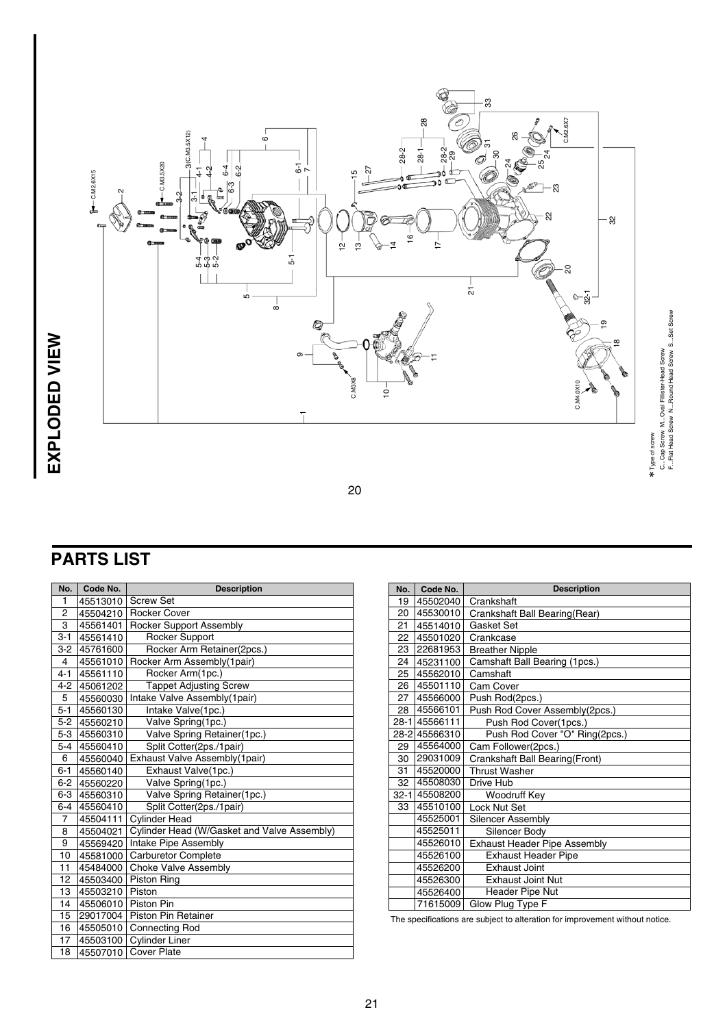

## **PARTS LIST**

| No.            | Code No.     | <b>Description</b>                          |  | No.      | Code No.                      | <b>Description</b>                                        |  |
|----------------|--------------|---------------------------------------------|--|----------|-------------------------------|-----------------------------------------------------------|--|
| 1              | 45513010     | <b>Screw Set</b>                            |  | 19       | 45502040                      | Crankshaft                                                |  |
| 2              | 45504210     | <b>Rocker Cover</b>                         |  | 20       | 45530010                      | Crankshaft Ball Bearing(Rear)                             |  |
| 3              | 45561401     | <b>Rocker Support Assembly</b>              |  | 21       | 45514010                      | Gasket Set                                                |  |
| $3 - 1$        | 45561410     | <b>Rocker Support</b>                       |  | 22       | 45501020                      | Crankcase                                                 |  |
| $3-2$          | 45761600     | Rocker Arm Retainer(2pcs.)                  |  | 23       | 22681953                      | <b>Breather Nipple</b>                                    |  |
| 4              | 45561010     | Rocker Arm Assembly(1pair)<br>24            |  | 45231100 | Camshaft Ball Bearing (1pcs.) |                                                           |  |
| $4 - 1$        | 45561110     | Rocker Arm(1pc.)                            |  | 25       | 45562010                      | Camshaft                                                  |  |
| 4-2            | 45061202     | <b>Tappet Adjusting Screw</b>               |  | 26       | 45501110                      | Cam Cover                                                 |  |
| 5              | 45560030     | Intake Valve Assembly(1pair)                |  | 27       | 45566000                      | Push Rod(2pcs.)                                           |  |
| $5 - 1$        | 45560130     | Intake Valve(1pc.)                          |  | 28       | 45566101                      | Push Rod Cover Assembly(2p                                |  |
| $5-2$          | 45560210     | Valve Spring(1pc.)                          |  |          | 28-1 45566111                 | Push Rod Cover(1pcs.)                                     |  |
| $5-3$          | 45560310     | Valve Spring Retainer(1pc.)                 |  |          | 28-2 45566310                 | Push Rod Cover "O" Ring                                   |  |
| $5 - 4$        | 45560410     | Split Cotter(2ps./1pair)                    |  | 29       | 45564000                      | Cam Follower(2pcs.)                                       |  |
| 6              | 45560040     | Exhaust Valve Assembly(1pair)               |  | 30       | 29031009                      | Crankshaft Ball Bearing(Front)                            |  |
| $6 - 1$        | 45560140     | Exhaust Valve(1pc.)                         |  | 31       | 45520000                      | <b>Thrust Washer</b>                                      |  |
| $6-2$          | 45560220     | Valve Spring(1pc.)                          |  | 32       | 45508030                      | Drive Hub                                                 |  |
|                | 6-3 45560310 | Valve Spring Retainer(1pc.)                 |  | $32 - 1$ | 45508200                      | Woodruff Key                                              |  |
| $6-4$          | 45560410     | Split Cotter(2ps./1pair)                    |  | 33       | 45510100                      | Lock Nut Set                                              |  |
| $\overline{7}$ | 45504111     | <b>Cylinder Head</b>                        |  |          | 45525001                      | Silencer Assembly                                         |  |
| 8              | 45504021     | Cylinder Head (W/Gasket and Valve Assembly) |  |          | 45525011                      | Silencer Body                                             |  |
| 9              | 45569420     | Intake Pipe Assembly                        |  |          | 45526010                      | <b>Exhaust Header Pipe Assemb</b>                         |  |
| 10             | 45581000     | <b>Carburetor Complete</b>                  |  |          | 45526100                      | <b>Exhaust Header Pipe</b>                                |  |
| 11             | 45484000     | <b>Choke Valve Assembly</b>                 |  |          | 45526200                      | <b>Exhaust Joint</b>                                      |  |
| 12             | 45503400     | Piston Ring                                 |  |          | 45526300                      | <b>Exhaust Joint Nut</b>                                  |  |
| 13             | 45503210     | Piston                                      |  |          | 45526400                      | <b>Header Pipe Nut</b>                                    |  |
| 14             | 45506010     | <b>Piston Pin</b>                           |  |          | 71615009                      | Glow Plug Type F                                          |  |
| 15             | 29017004     | <b>Piston Pin Retainer</b>                  |  |          |                               | The specifications are subject to alteration for improven |  |
| 16             | 45505010     | <b>Connecting Rod</b>                       |  |          |                               |                                                           |  |
| 17             | 45503100     | <b>Cylinder Liner</b>                       |  |          |                               |                                                           |  |
| 18             | 45507010     | <b>Cover Plate</b>                          |  |          |                               |                                                           |  |

| No.      | Code No.      | <b>Description</b>                  |  |
|----------|---------------|-------------------------------------|--|
| 19       | 45502040      | Crankshaft                          |  |
| 20       | 45530010      | Crankshaft Ball Bearing(Rear)       |  |
| 21       | 45514010      | Gasket Set                          |  |
| 22       | 45501020      | Crankcase                           |  |
| 23       | 22681953      | <b>Breather Nipple</b>              |  |
| 24       | 45231100      | Camshaft Ball Bearing (1pcs.)       |  |
| 25       | 45562010      | Camshaft                            |  |
| 26       | 45501110      | Cam Cover                           |  |
| 27       | 45566000      | Push Rod(2pcs.)                     |  |
| 28       | 45566101      | Push Rod Cover Assembly(2pcs.)      |  |
|          | 28-1 45566111 | Push Rod Cover(1pcs.)               |  |
|          | 28-2 45566310 | Push Rod Cover "O" Ring(2pcs.)      |  |
| 29       | 45564000      | Cam Follower(2pcs.)                 |  |
| 30       | 29031009      | Crankshaft Ball Bearing (Front)     |  |
| 31       | 45520000      | <b>Thrust Washer</b>                |  |
| 32       | 45508030      | Drive Hub                           |  |
| $32 - 1$ | 45508200      | Woodruff Key                        |  |
| 33       | 45510100      | Lock Nut Set                        |  |
|          | 45525001      | <b>Silencer Assembly</b>            |  |
|          | 45525011      | Silencer Body                       |  |
|          | 45526010      | <b>Exhaust Header Pipe Assembly</b> |  |
|          | 45526100      | <b>Exhaust Header Pipe</b>          |  |
|          | 45526200      | <b>Exhaust Joint</b>                |  |
|          | 45526300      | <b>Exhaust Joint Nut</b>            |  |
|          | 45526400      | Header Pipe Nut                     |  |
|          | 71615009      | Glow Plug Type F                    |  |

The specifications are subject to alteration for improvement without notice.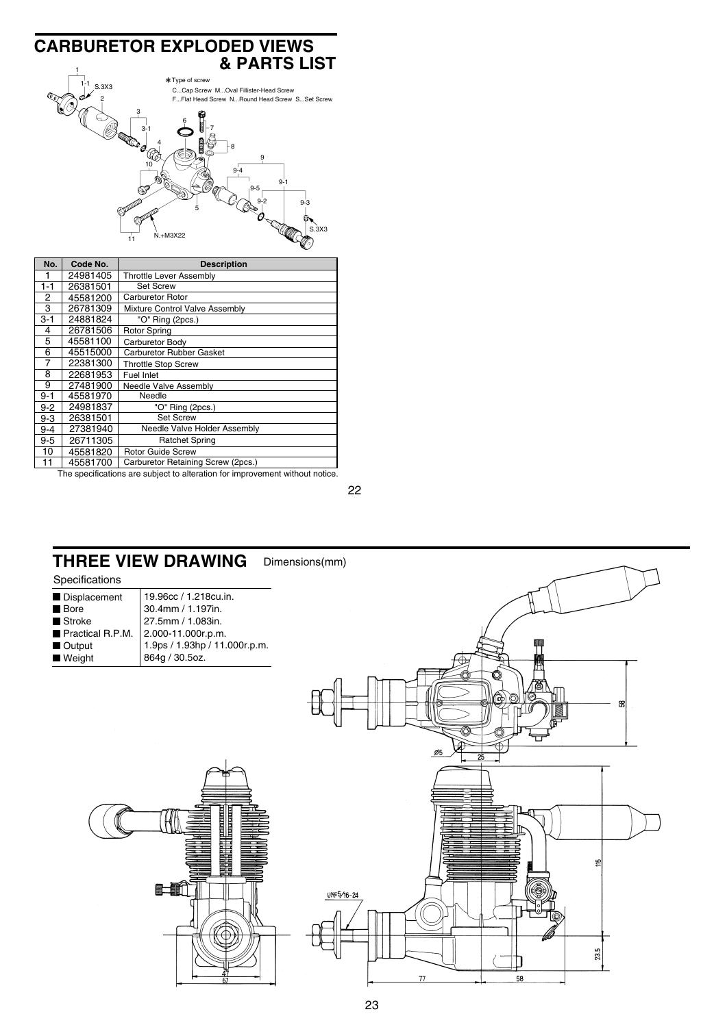#### **CARBURETOR EXPLODED VIEWS 8 PARTS LIST** 1-1 2 3 3-1 4 5 6 7 8 10 11 9 9-1 9-4 9-5 9-2 9-3  $N.+M3X22$ S.3X3 Type of screw C...Cap Screw M...Oval Fillister-Head Screw F...Flat Head Screw N...Round Head Screw S...Set Screw

| No.     | Code No. | <b>Description</b>                 |
|---------|----------|------------------------------------|
|         | 24981405 | Throttle Lever Assembly            |
| $1 - 1$ | 26381501 | <b>Set Screw</b>                   |
| 2       | 45581200 | <b>Carburetor Rotor</b>            |
| 3       | 26781309 | Mixture Control Valve Assembly     |
| $3 - 1$ | 24881824 | "O" Ring (2pcs.)                   |
| 4       | 26781506 | <b>Rotor Spring</b>                |
| 5       | 45581100 | Carburetor Body                    |
| 6       | 45515000 | Carburetor Rubber Gasket           |
| 7       | 22381300 | <b>Throttle Stop Screw</b>         |
| 8       | 22681953 | Fuel Inlet                         |
| 9       | 27481900 | Needle Valve Assembly              |
| $9 - 1$ | 45581970 | Needle                             |
| $9 - 2$ | 24981837 | "O" Ring (2pcs.)                   |
| $9 - 3$ | 26381501 | <b>Set Screw</b>                   |
| $9 - 4$ | 27381940 | Needle Valve Holder Assembly       |
| $9-5$   | 26711305 | <b>Ratchet Spring</b>              |
| 10      | 45581820 | <b>Rotor Guide Screw</b>           |
| 11      | 45581700 | Carburetor Retaining Screw (2pcs.) |

The specifications are subject to alteration for improvement without notice.

22



#### Dimensions(mm) **THREE VIEW DRAWING**